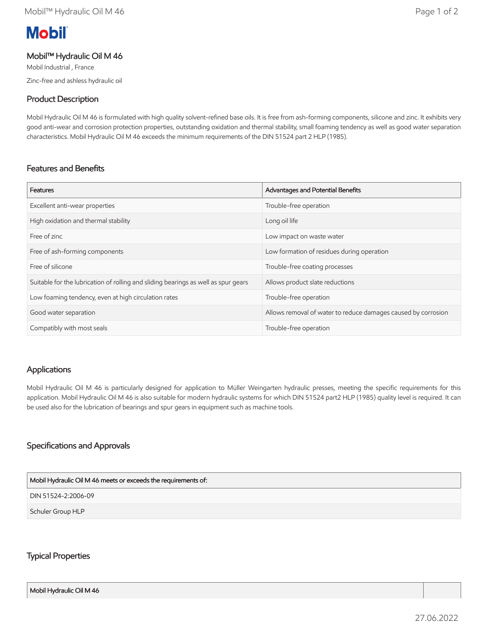# **Mobil**

## Mobil™ Hydraulic Oil M 46

Mobil Industrial , France Zinc-free and ashless hydraulic oil

## Product Description

Mobil Hydraulic Oil M 46 is formulated with high quality solvent-refined base oils. It is free from ash-forming components, silicone and zinc. It exhibits very good anti-wear and corrosion protection properties, outstanding oxidation and thermal stability, small foaming tendency as well as good water separation characteristics. Mobil Hydraulic Oil M 46 exceeds the minimum requirements of the DIN 51524 part 2 HLP (1985).

## Features and Benefits

| Features                                                                           | Advantages and Potential Benefits                             |
|------------------------------------------------------------------------------------|---------------------------------------------------------------|
| Excellent anti-wear properties                                                     | Trouble-free operation                                        |
| High oxidation and thermal stability                                               | Long oil life                                                 |
| Free of zinc                                                                       | Low impact on waste water                                     |
| Free of ash-forming components                                                     | Low formation of residues during operation                    |
| Free of silicone                                                                   | Trouble-free coating processes                                |
| Suitable for the lubrication of rolling and sliding bearings as well as spur gears | Allows product slate reductions                               |
| Low foaming tendency, even at high circulation rates                               | Trouble-free operation                                        |
| Good water separation                                                              | Allows removal of water to reduce damages caused by corrosion |
| Compatibly with most seals                                                         | Trouble-free operation                                        |

## Applications

Mobil Hydraulic Oil M 46 is particularly designed for application to Müller Weingarten hydraulic presses, meeting the specific requirements for this application. Mobil Hydraulic Oil M 46 is also suitable for modern hydraulic systems for which DIN 51524 part2 HLP (1985) quality level is required. It can be used also for the lubrication of bearings and spur gears in equipment such as machine tools.

## Specifications and Approvals

## DIN 51524-2:2006-09 Mobil Hydraulic Oil M 46 meets or exceeds the requirements of:

Schuler Group HLP

## Typical Properties